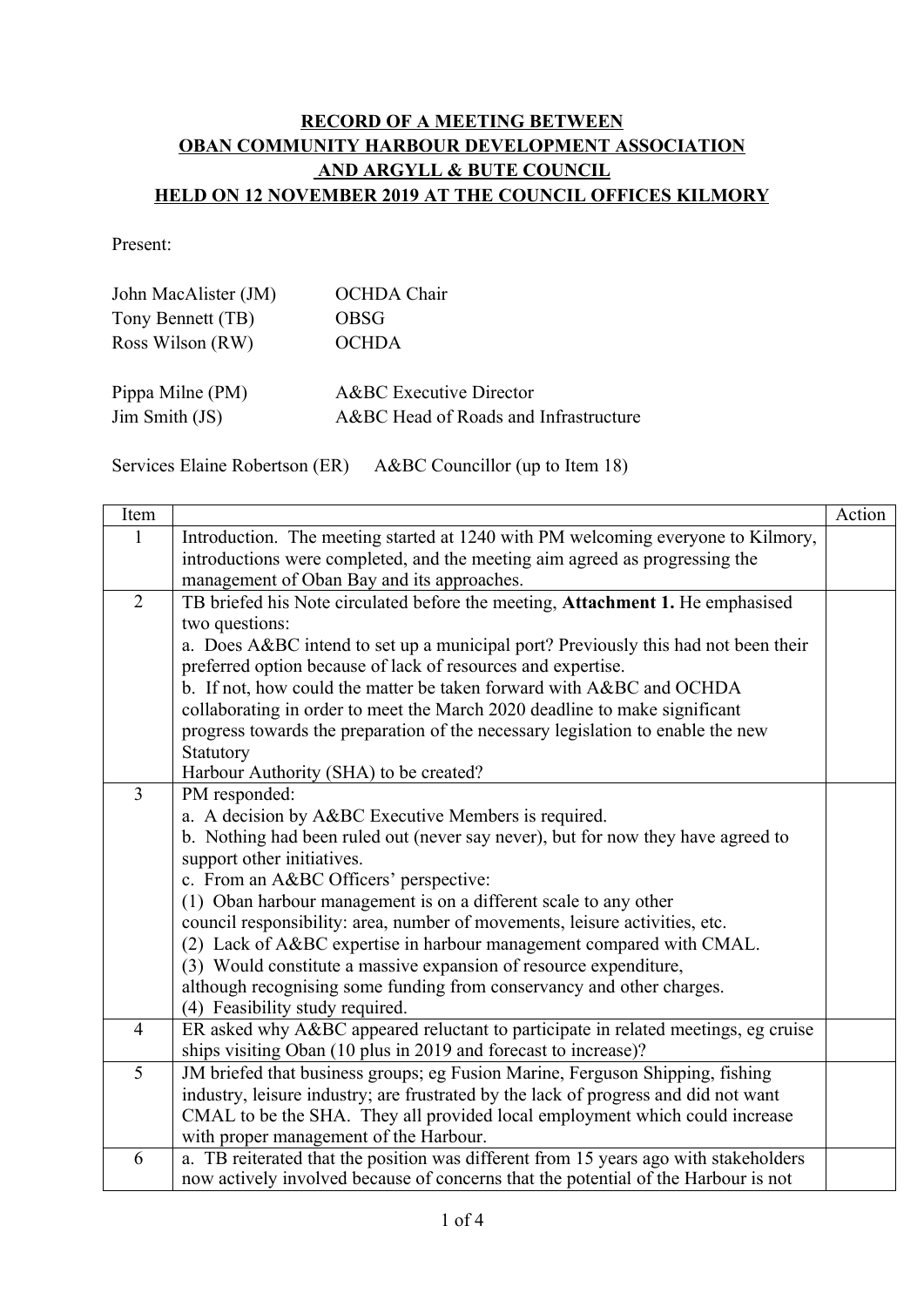## **RECORD OF A MEETING BETWEEN OBAN COMMUNITY HARBOUR DEVELOPMENT ASSOCIATION AND ARGYLL & BUTE COUNCIL HELD ON 12 NOVEMBER 2019 AT THE COUNCIL OFFICES KILMORY**

Present:

| John MacAlister (JM) | <b>OCHDA</b> Chair                    |
|----------------------|---------------------------------------|
| Tony Bennett (TB)    | OBSG                                  |
| Ross Wilson (RW)     | <b>OCHDA</b>                          |
| Pippa Milne (PM)     | <b>A&amp;BC</b> Executive Director    |
| Jim Smith (JS)       | A&BC Head of Roads and Infrastructure |

Services Elaine Robertson (ER) A&BC Councillor (up to Item 18)

| Item           |                                                                                                          | Action |
|----------------|----------------------------------------------------------------------------------------------------------|--------|
| $\mathbf{1}$   | Introduction. The meeting started at 1240 with PM welcoming everyone to Kilmory,                         |        |
|                | introductions were completed, and the meeting aim agreed as progressing the                              |        |
|                | management of Oban Bay and its approaches.                                                               |        |
| $\overline{2}$ | TB briefed his Note circulated before the meeting, Attachment 1. He emphasised                           |        |
|                | two questions:                                                                                           |        |
|                | a. Does A&BC intend to set up a municipal port? Previously this had not been their                       |        |
|                | preferred option because of lack of resources and expertise.                                             |        |
|                | b. If not, how could the matter be taken forward with A&BC and OCHDA                                     |        |
|                | collaborating in order to meet the March 2020 deadline to make significant                               |        |
|                | progress towards the preparation of the necessary legislation to enable the new                          |        |
|                | Statutory                                                                                                |        |
|                | Harbour Authority (SHA) to be created?                                                                   |        |
| $\overline{3}$ | PM responded:                                                                                            |        |
|                | a. A decision by A&BC Executive Members is required.                                                     |        |
|                | b. Nothing had been ruled out (never say never), but for now they have agreed to                         |        |
|                | support other initiatives.                                                                               |        |
|                | c. From an A&BC Officers' perspective:                                                                   |        |
|                | (1) Oban harbour management is on a different scale to any other                                         |        |
|                | council responsibility: area, number of movements, leisure activities, etc.                              |        |
|                | (2) Lack of A&BC expertise in harbour management compared with CMAL.                                     |        |
|                | (3) Would constitute a massive expansion of resource expenditure,                                        |        |
|                | although recognising some funding from conservancy and other charges.<br>(4) Feasibility study required. |        |
| $\overline{4}$ | ER asked why A&BC appeared reluctant to participate in related meetings, eg cruise                       |        |
|                | ships visiting Oban (10 plus in 2019 and forecast to increase)?                                          |        |
| 5              | JM briefed that business groups; eg Fusion Marine, Ferguson Shipping, fishing                            |        |
|                | industry, leisure industry; are frustrated by the lack of progress and did not want                      |        |
|                | CMAL to be the SHA. They all provided local employment which could increase                              |        |
|                | with proper management of the Harbour.                                                                   |        |
| 6              | a. TB reiterated that the position was different from 15 years ago with stakeholders                     |        |
|                | now actively involved because of concerns that the potential of the Harbour is not                       |        |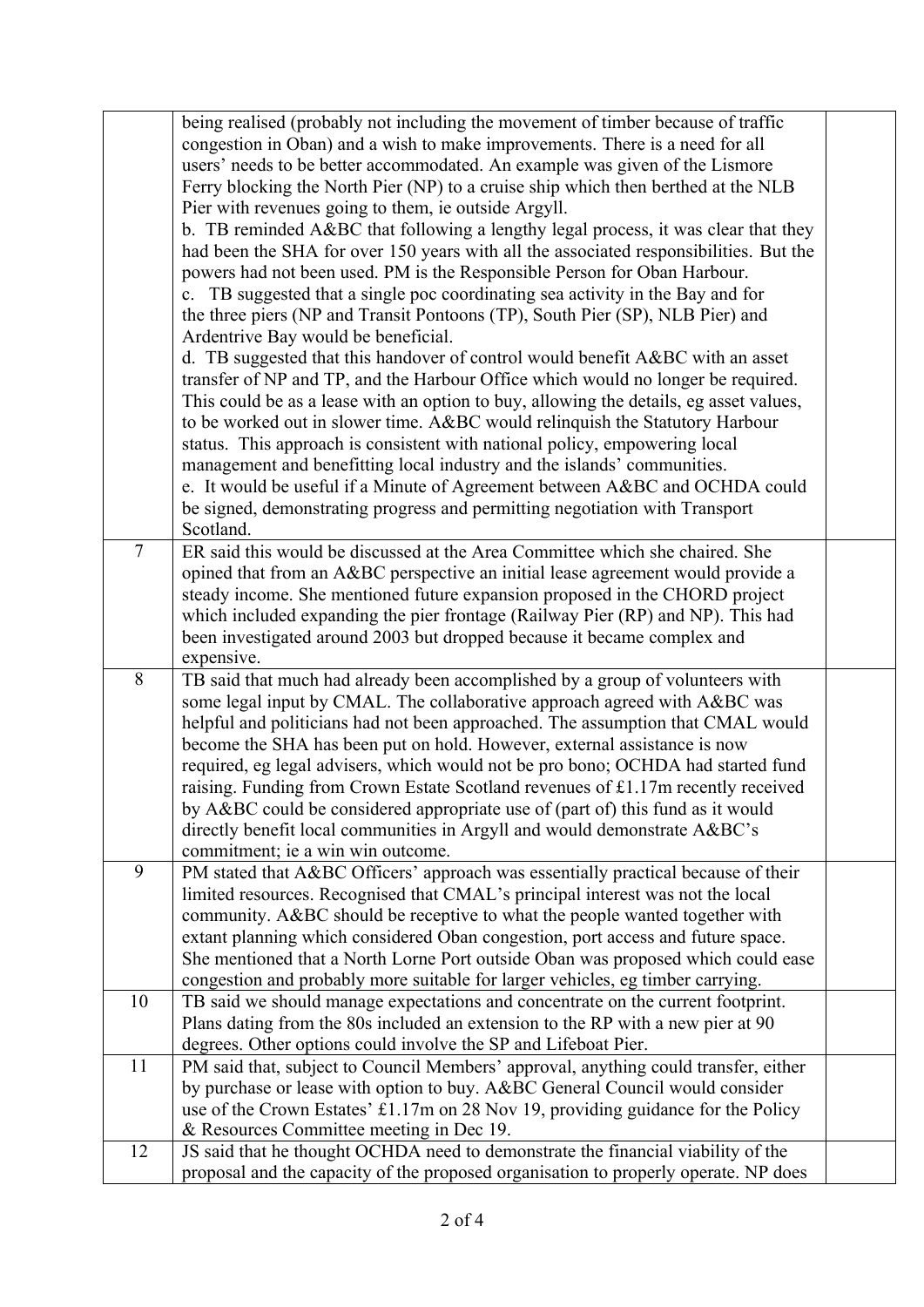|                | being realised (probably not including the movement of timber because of traffic<br>congestion in Oban) and a wish to make improvements. There is a need for all<br>users' needs to be better accommodated. An example was given of the Lismore<br>Ferry blocking the North Pier (NP) to a cruise ship which then berthed at the NLB<br>Pier with revenues going to them, ie outside Argyll.<br>b. TB reminded A&BC that following a lengthy legal process, it was clear that they<br>had been the SHA for over 150 years with all the associated responsibilities. But the<br>powers had not been used. PM is the Responsible Person for Oban Harbour.<br>c. TB suggested that a single poc coordinating sea activity in the Bay and for<br>the three piers (NP and Transit Pontoons (TP), South Pier (SP), NLB Pier) and<br>Ardentrive Bay would be beneficial.<br>d. TB suggested that this handover of control would benefit A&BC with an asset<br>transfer of NP and TP, and the Harbour Office which would no longer be required.<br>This could be as a lease with an option to buy, allowing the details, eg asset values,<br>to be worked out in slower time. A&BC would relinquish the Statutory Harbour<br>status. This approach is consistent with national policy, empowering local<br>management and benefitting local industry and the islands' communities.<br>e. It would be useful if a Minute of Agreement between A&BC and OCHDA could<br>be signed, demonstrating progress and permitting negotiation with Transport<br>Scotland. |  |
|----------------|-------------------------------------------------------------------------------------------------------------------------------------------------------------------------------------------------------------------------------------------------------------------------------------------------------------------------------------------------------------------------------------------------------------------------------------------------------------------------------------------------------------------------------------------------------------------------------------------------------------------------------------------------------------------------------------------------------------------------------------------------------------------------------------------------------------------------------------------------------------------------------------------------------------------------------------------------------------------------------------------------------------------------------------------------------------------------------------------------------------------------------------------------------------------------------------------------------------------------------------------------------------------------------------------------------------------------------------------------------------------------------------------------------------------------------------------------------------------------------------------------------------------------------------------------------|--|
| $\overline{7}$ | ER said this would be discussed at the Area Committee which she chaired. She<br>opined that from an A&BC perspective an initial lease agreement would provide a<br>steady income. She mentioned future expansion proposed in the CHORD project<br>which included expanding the pier frontage (Railway Pier (RP) and NP). This had<br>been investigated around 2003 but dropped because it became complex and<br>expensive.                                                                                                                                                                                                                                                                                                                                                                                                                                                                                                                                                                                                                                                                                                                                                                                                                                                                                                                                                                                                                                                                                                                            |  |
| 8              | TB said that much had already been accomplished by a group of volunteers with<br>some legal input by CMAL. The collaborative approach agreed with A&BC was<br>helpful and politicians had not been approached. The assumption that CMAL would<br>become the SHA has been put on hold. However, external assistance is now<br>required, eg legal advisers, which would not be pro bono; OCHDA had started fund<br>raising. Funding from Crown Estate Scotland revenues of £1.17m recently received<br>by A&BC could be considered appropriate use of (part of) this fund as it would<br>directly benefit local communities in Argyll and would demonstrate A&BC's<br>commitment; ie a win win outcome.                                                                                                                                                                                                                                                                                                                                                                                                                                                                                                                                                                                                                                                                                                                                                                                                                                                 |  |
| 9              | PM stated that A&BC Officers' approach was essentially practical because of their<br>limited resources. Recognised that CMAL's principal interest was not the local<br>community. A&BC should be receptive to what the people wanted together with<br>extant planning which considered Oban congestion, port access and future space.<br>She mentioned that a North Lorne Port outside Oban was proposed which could ease<br>congestion and probably more suitable for larger vehicles, eg timber carrying.                                                                                                                                                                                                                                                                                                                                                                                                                                                                                                                                                                                                                                                                                                                                                                                                                                                                                                                                                                                                                                           |  |
| 10             | TB said we should manage expectations and concentrate on the current footprint.<br>Plans dating from the 80s included an extension to the RP with a new pier at 90                                                                                                                                                                                                                                                                                                                                                                                                                                                                                                                                                                                                                                                                                                                                                                                                                                                                                                                                                                                                                                                                                                                                                                                                                                                                                                                                                                                    |  |
| 11             | degrees. Other options could involve the SP and Lifeboat Pier.<br>PM said that, subject to Council Members' approval, anything could transfer, either<br>by purchase or lease with option to buy. A&BC General Council would consider<br>use of the Crown Estates' £1.17m on 28 Nov 19, providing guidance for the Policy<br>& Resources Committee meeting in Dec 19.                                                                                                                                                                                                                                                                                                                                                                                                                                                                                                                                                                                                                                                                                                                                                                                                                                                                                                                                                                                                                                                                                                                                                                                 |  |
| 12             | JS said that he thought OCHDA need to demonstrate the financial viability of the<br>proposal and the capacity of the proposed organisation to properly operate. NP does                                                                                                                                                                                                                                                                                                                                                                                                                                                                                                                                                                                                                                                                                                                                                                                                                                                                                                                                                                                                                                                                                                                                                                                                                                                                                                                                                                               |  |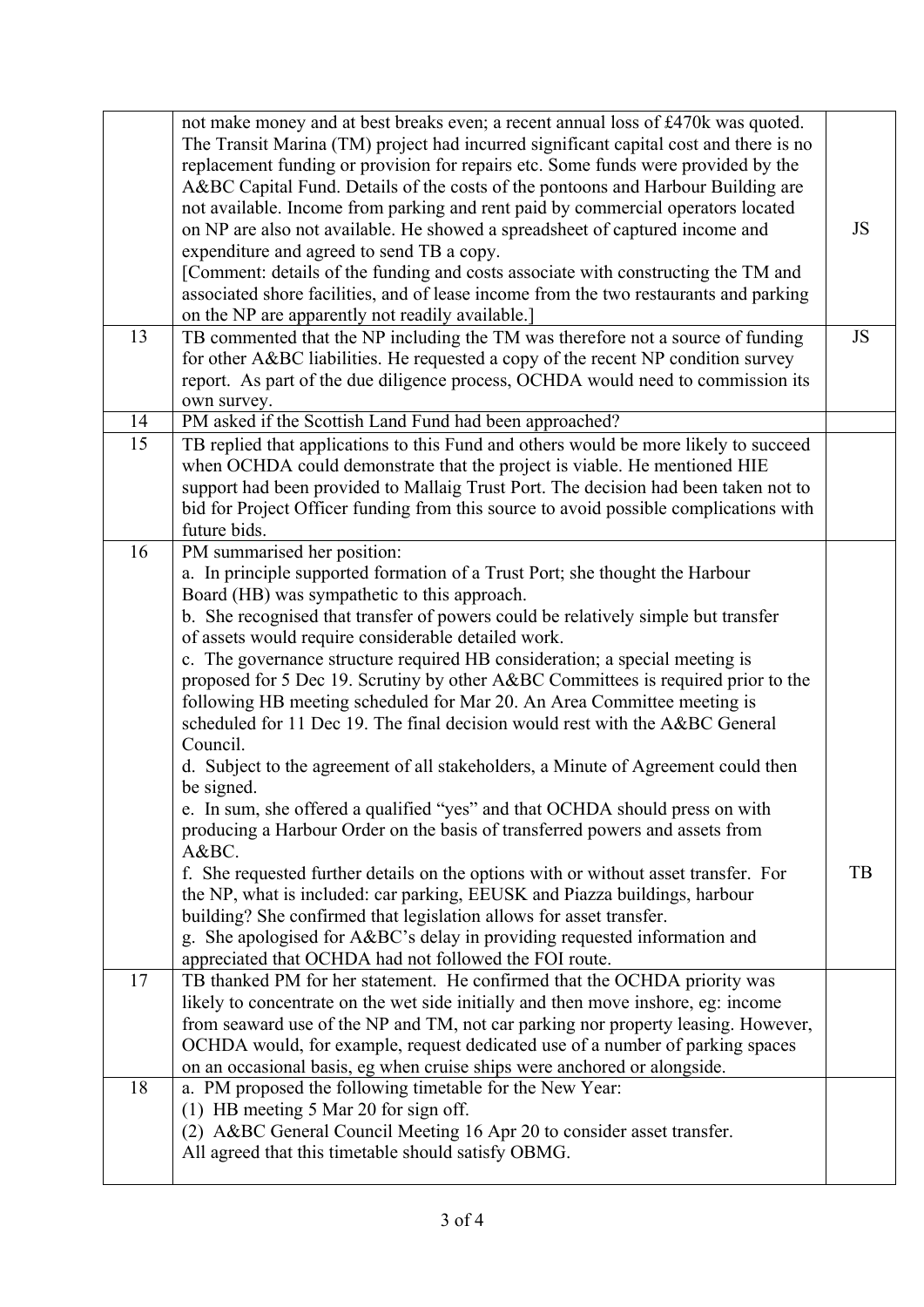|    | not make money and at best breaks even; a recent annual loss of £470k was quoted.<br>The Transit Marina (TM) project had incurred significant capital cost and there is no<br>replacement funding or provision for repairs etc. Some funds were provided by the<br>A&BC Capital Fund. Details of the costs of the pontoons and Harbour Building are<br>not available. Income from parking and rent paid by commercial operators located<br>on NP are also not available. He showed a spreadsheet of captured income and<br>expenditure and agreed to send TB a copy.<br>[Comment: details of the funding and costs associate with constructing the TM and<br>associated shore facilities, and of lease income from the two restaurants and parking<br>on the NP are apparently not readily available.]                                                                                                                                                                                                                | JS |
|----|-----------------------------------------------------------------------------------------------------------------------------------------------------------------------------------------------------------------------------------------------------------------------------------------------------------------------------------------------------------------------------------------------------------------------------------------------------------------------------------------------------------------------------------------------------------------------------------------------------------------------------------------------------------------------------------------------------------------------------------------------------------------------------------------------------------------------------------------------------------------------------------------------------------------------------------------------------------------------------------------------------------------------|----|
| 13 | TB commented that the NP including the TM was therefore not a source of funding<br>for other A&BC liabilities. He requested a copy of the recent NP condition survey<br>report. As part of the due diligence process, OCHDA would need to commission its<br>own survey.                                                                                                                                                                                                                                                                                                                                                                                                                                                                                                                                                                                                                                                                                                                                               | JS |
| 14 | PM asked if the Scottish Land Fund had been approached?                                                                                                                                                                                                                                                                                                                                                                                                                                                                                                                                                                                                                                                                                                                                                                                                                                                                                                                                                               |    |
| 15 | TB replied that applications to this Fund and others would be more likely to succeed<br>when OCHDA could demonstrate that the project is viable. He mentioned HIE<br>support had been provided to Mallaig Trust Port. The decision had been taken not to<br>bid for Project Officer funding from this source to avoid possible complications with<br>future bids.                                                                                                                                                                                                                                                                                                                                                                                                                                                                                                                                                                                                                                                     |    |
| 16 | PM summarised her position:<br>a. In principle supported formation of a Trust Port; she thought the Harbour<br>Board (HB) was sympathetic to this approach.<br>b. She recognised that transfer of powers could be relatively simple but transfer<br>of assets would require considerable detailed work.<br>c. The governance structure required HB consideration; a special meeting is<br>proposed for 5 Dec 19. Scrutiny by other A&BC Committees is required prior to the<br>following HB meeting scheduled for Mar 20. An Area Committee meeting is<br>scheduled for 11 Dec 19. The final decision would rest with the A&BC General<br>Council.<br>d. Subject to the agreement of all stakeholders, a Minute of Agreement could then<br>be signed.<br>e. In sum, she offered a qualified "yes" and that OCHDA should press on with<br>producing a Harbour Order on the basis of transferred powers and assets from<br>A&BC.<br>f. She requested further details on the options with or without asset transfer. For | TB |
|    | the NP, what is included: car parking, EEUSK and Piazza buildings, harbour<br>building? She confirmed that legislation allows for asset transfer.<br>g. She apologised for A&BC's delay in providing requested information and<br>appreciated that OCHDA had not followed the FOI route.                                                                                                                                                                                                                                                                                                                                                                                                                                                                                                                                                                                                                                                                                                                              |    |
| 17 | TB thanked PM for her statement. He confirmed that the OCHDA priority was<br>likely to concentrate on the wet side initially and then move inshore, eg: income<br>from seaward use of the NP and TM, not car parking nor property leasing. However,<br>OCHDA would, for example, request dedicated use of a number of parking spaces<br>on an occasional basis, eg when cruise ships were anchored or alongside.                                                                                                                                                                                                                                                                                                                                                                                                                                                                                                                                                                                                      |    |
| 18 | a. PM proposed the following timetable for the New Year:<br>(1) HB meeting 5 Mar 20 for sign off.<br>(2) A&BC General Council Meeting 16 Apr 20 to consider asset transfer.<br>All agreed that this timetable should satisfy OBMG.                                                                                                                                                                                                                                                                                                                                                                                                                                                                                                                                                                                                                                                                                                                                                                                    |    |